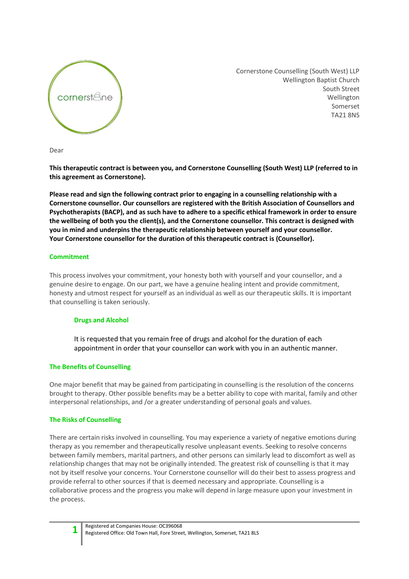

Cornerstone Counselling (South West) LLP Wellington Baptist Church South Street Wellington Somerset TA21 8NS

Dear

**This therapeutic contract is between you, and Cornerstone Counselling (South West) LLP (referred to in this agreement as Cornerstone).**

**Please read and sign the following contract prior to engaging in a counselling relationship with a Cornerstone counsellor. Our counsellors are registered with the British Association of Counsellors and Psychotherapists (BACP), and as such have to adhere to a specific ethical framework in order to ensure the wellbeing of both you the client(s), and the Cornerstone counsellor. This contract is designed with you in mind and underpins the therapeutic relationship between yourself and your counsellor. Your Cornerstone counsellor for the duration of this therapeutic contract is (Counsellor).**

### **Commitment**

This process involves your commitment, your honesty both with yourself and your counsellor, and a genuine desire to engage. On our part, we have a genuine healing intent and provide commitment, honesty and utmost respect for yourself as an individual as well as our therapeutic skills. It is important that counselling is taken seriously.

# **Drugs and Alcohol**

It is requested that you remain free of drugs and alcohol for the duration of each appointment in order that your counsellor can work with you in an authentic manner.

# **The Benefits of Counselling**

One major benefit that may be gained from participating in counselling is the resolution of the concerns brought to therapy. Other possible benefits may be a better ability to cope with marital, family and other interpersonal relationships, and /or a greater understanding of personal goals and values.

### **The Risks of Counselling**

There are certain risks involved in counselling. You may experience a variety of negative emotions during therapy as you remember and therapeutically resolve unpleasant events. Seeking to resolve concerns between family members, marital partners, and other persons can similarly lead to discomfort as well as relationship changes that may not be originally intended. The greatest risk of counselling is that it may not by itself resolve your concerns. Your Cornerstone counsellor will do their best to assess progress and provide referral to other sources if that is deemed necessary and appropriate. Counselling is a collaborative process and the progress you make will depend in large measure upon your investment in the process.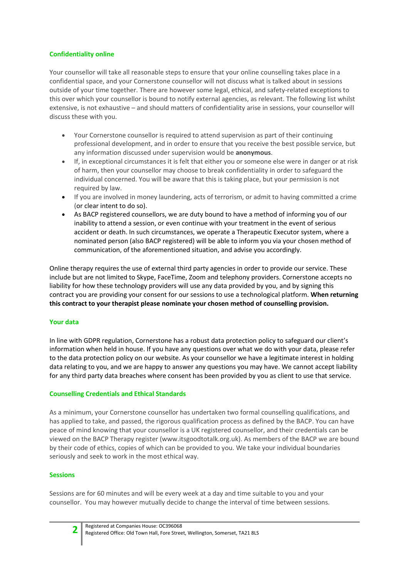### **Confidentiality online**

Your counsellor will take all reasonable steps to ensure that your online counselling takes place in a confidential space, and your Cornerstone counsellor will not discuss what is talked about in sessions outside of your time together. There are however some legal, ethical, and safety-related exceptions to this over which your counsellor is bound to notify external agencies, as relevant. The following list whilst extensive, is not exhaustive – and should matters of confidentiality arise in sessions, your counsellor will discuss these with you.

- Your Cornerstone counsellor is required to attend supervision as part of their continuing professional development, and in order to ensure that you receive the best possible service, but any information discussed under supervision would be **anonymous**.
- If, in exceptional circumstances it is felt that either you or someone else were in danger or at risk of harm, then your counsellor may choose to break confidentiality in order to safeguard the individual concerned. You will be aware that this is taking place, but your permission is not required by law.
- If you are involved in money laundering, acts of terrorism, or admit to having committed a crime (or clear intent to do so).
- As BACP registered counsellors, we are duty bound to have a method of informing you of our inability to attend a session, or even continue with your treatment in the event of serious accident or death. In such circumstances, we operate a Therapeutic Executor system, where a nominated person (also BACP registered) will be able to inform you via your chosen method of communication, of the aforementioned situation, and advise you accordingly.

Online therapy requires the use of external third party agencies in order to provide our service. These include but are not limited to Skype, FaceTime, Zoom and telephony providers. Cornerstone accepts no liability for how these technology providers will use any data provided by you, and by signing this contract you are providing your consent for our sessions to use a technological platform. **When returning this contract to your therapist please nominate your chosen method of counselling provision.**

### **Your data**

In line with GDPR regulation, Cornerstone has a robust data protection policy to safeguard our client's information when held in house. If you have any questions over what we do with your data, please refer to the data protection policy on our website. As your counsellor we have a legitimate interest in holding data relating to you, and we are happy to answer any questions you may have. We cannot accept liability for any third party data breaches where consent has been provided by you as client to use that service.

# **Counselling Credentials and Ethical Standards**

As a minimum, your Cornerstone counsellor has undertaken two formal counselling qualifications, and has applied to take, and passed, the rigorous qualification process as defined by the BACP. You can have peace of mind knowing that your counsellor is a UK registered counsellor, and their credentials can be viewed on the BACP Therapy register (www.itsgoodtotalk.org.uk). As members of the BACP we are bound by their code of ethics, copies of which can be provided to you. We take your individual boundaries seriously and seek to work in the most ethical way.

### **Sessions**

Sessions are for 60 minutes and will be every week at a day and time suitable to you and your counsellor. You may however mutually decide to change the interval of time between sessions.